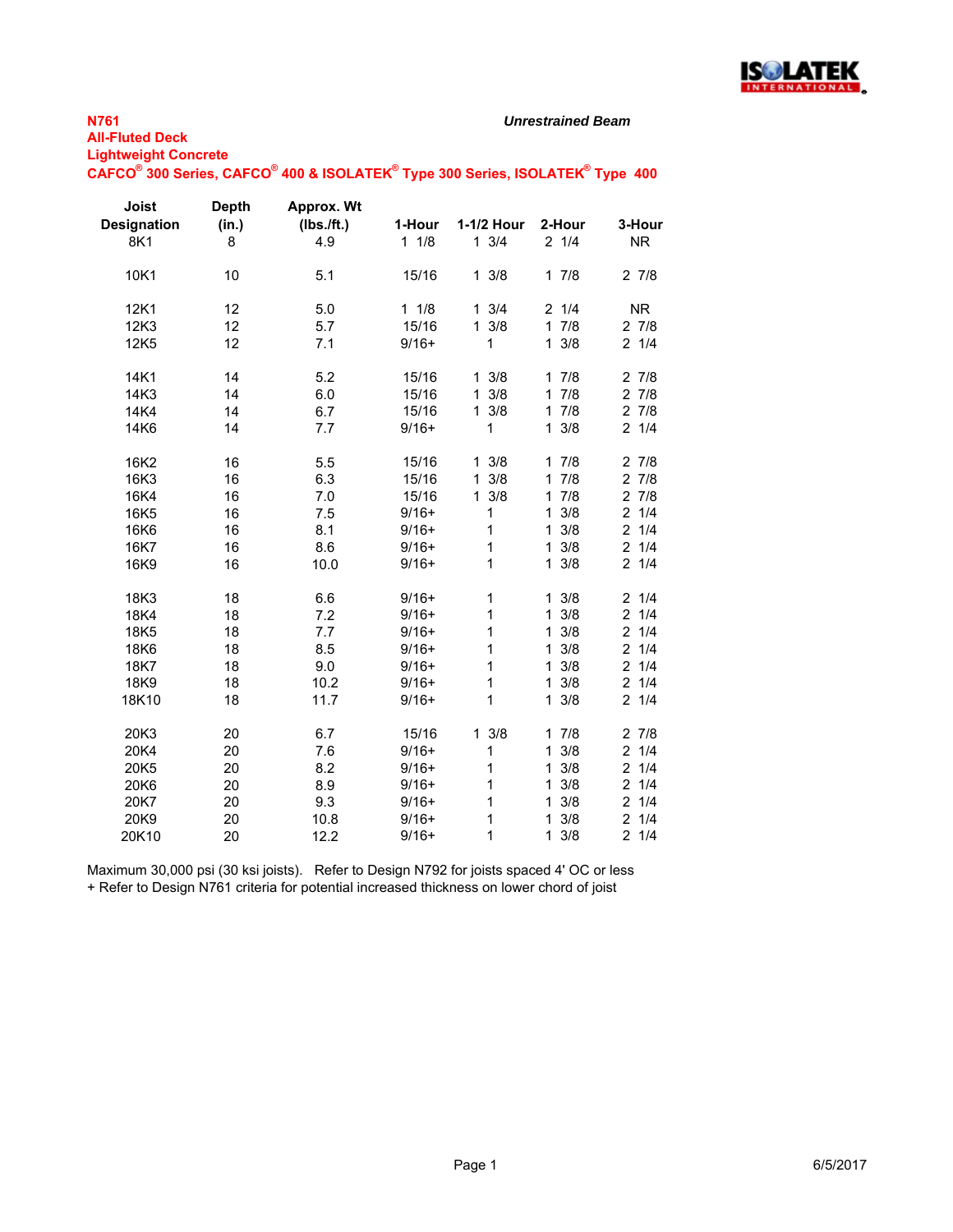

## **N761 All-Fluted Deck**

*Unrestrained Beam*

### **Lightweight Concrete**

## $\mathsf{CAFCO}^\circ$  300 Series,  $\mathsf{CAFCO}^\circ$  400 & ISOLATEK $^\circ$  Type 300 Series, ISOLATEK $^\circ$  Type 400

| Joist<br><b>Designation</b><br>8K1 | <b>Depth</b><br>(in.)<br>8 | Approx. Wt<br>(Ibs./ft.)<br>4.9 | 1-Hour<br>11/8 | 1-1/2 Hour<br>$1 \frac{3}{4}$ | 2-Hour<br>21/4      | 3-Hour<br><b>NR</b>   |
|------------------------------------|----------------------------|---------------------------------|----------------|-------------------------------|---------------------|-----------------------|
| 10K1                               | 10                         | 5.1                             | 15/16          | $1 \frac{3}{8}$               | 17/8                | 27/8                  |
| 12K1                               | 12                         | 5.0                             | 11/8           | $1 \frac{3}{4}$               | $2 \t1/4$           | NR.                   |
| 12K3                               | 12                         | 5.7                             | 15/16          | $1 \frac{3}{8}$               | 17/8                | 27/8                  |
| 12K5                               | 12                         | 7.1                             | $9/16+$        | 1                             | $1 \frac{3}{8}$     | 21/4                  |
| 14K1                               | 14                         | 5.2                             | 15/16          | $1 \frac{3}{8}$               | 17/8                | 27/8                  |
| 14K3                               | 14                         | 6.0                             | 15/16          | $1 \frac{3}{8}$               | 17/8                | 27/8                  |
| 14K4                               | 14                         | 6.7                             | 15/16          | $1 \frac{3}{8}$               | 17/8                | 27/8                  |
| 14K6                               | 14                         | 7.7                             | $9/16+$        | 1                             | $1 \frac{3}{8}$     | 21/4                  |
| 16K2                               | 16                         | 5.5                             | 15/16          | $1 \frac{3}{8}$               | 17/8                | 27/8                  |
| 16K3                               | 16                         | 6.3                             | 15/16          | $1 \frac{3}{8}$               | 7/8<br>1            | 27/8                  |
| 16K4                               | 16                         | 7.0                             | 15/16          | $1 \frac{3}{8}$               | 7/8<br>$\mathbf{1}$ | 27/8                  |
| 16K5                               | 16                         | 7.5                             | $9/16+$        | 1                             | 3/8<br>$\mathbf{1}$ | $\overline{2}$<br>1/4 |
| 16K6                               | 16                         | 8.1                             | $9/16+$        | $\mathbf{1}$                  | 3/8<br>$\mathbf{1}$ | $\overline{2}$<br>1/4 |
| 16K7                               | 16                         | 8.6                             | $9/16+$        | $\mathbf{1}$                  | 3/8<br>$\mathbf{1}$ | 1/4<br>$\overline{2}$ |
| 16K9                               | 16                         | 10.0                            | $9/16+$        | $\mathbf{1}$                  | 3/8<br>$\mathbf{1}$ | $2 \t1/4$             |
| 18K3                               | 18                         | 6.6                             | $9/16+$        | $\mathbf{1}$                  | 3/8<br>$\mathbf{1}$ | $2 \frac{1}{4}$       |
| 18K4                               | 18                         | 7.2                             | $9/16+$        | $\mathbf 1$                   | 3/8<br>1            | 1/4<br>$\overline{2}$ |
| 18K5                               | 18                         | 7.7                             | $9/16+$        | $\mathbf{1}$                  | 3/8<br>$\mathbf{1}$ | $\overline{2}$<br>1/4 |
| 18K6                               | 18                         | 8.5                             | $9/16+$        | 1                             | 3/8<br>1            | $\overline{2}$<br>1/4 |
| 18K7                               | 18                         | 9.0                             | $9/16+$        | $\mathbf{1}$                  | 3/8<br>$\mathbf{1}$ | 1/4<br>$\overline{2}$ |
| 18K9                               | 18                         | 10.2                            | $9/16+$        | 1                             | 3/8<br>1            | 1/4<br>$\overline{2}$ |
| 18K10                              | 18                         | 11.7                            | $9/16+$        | $\mathbf{1}$                  | $\mathbf{1}$<br>3/8 | $2 \t1/4$             |
| 20K3                               | 20                         | 6.7                             | 15/16          | $1 \frac{3}{8}$               | 17/8                | 27/8                  |
| 20K4                               | 20                         | 7.6                             | $9/16+$        | 1                             | 3/8<br>$\mathbf{1}$ | 1/4<br>$\overline{2}$ |
| 20K5                               | 20                         | 8.2                             | $9/16+$        | 1                             | 3/8<br>$\mathbf{1}$ | 21/4                  |
| 20K6                               | 20                         | 8.9                             | $9/16+$        | 1                             | 3/8<br>$\mathbf{1}$ | $2 \t1/4$             |
| 20K7                               | 20                         | 9.3                             | $9/16+$        | 1                             | 3/8<br>$\mathbf 1$  | $\overline{2}$<br>1/4 |
| 20K9                               | 20                         | 10.8                            | $9/16+$        | 1                             | 3/8<br>$\mathbf{1}$ | $\overline{2}$<br>1/4 |
| 20K10                              | 20                         | 12.2                            | $9/16+$        | 1                             | $1 \frac{3}{8}$     | 21/4                  |

Maximum 30,000 psi (30 ksi joists). Refer to Design N792 for joists spaced 4' OC or less + Refer to Design N761 criteria for potential increased thickness on lower chord of joist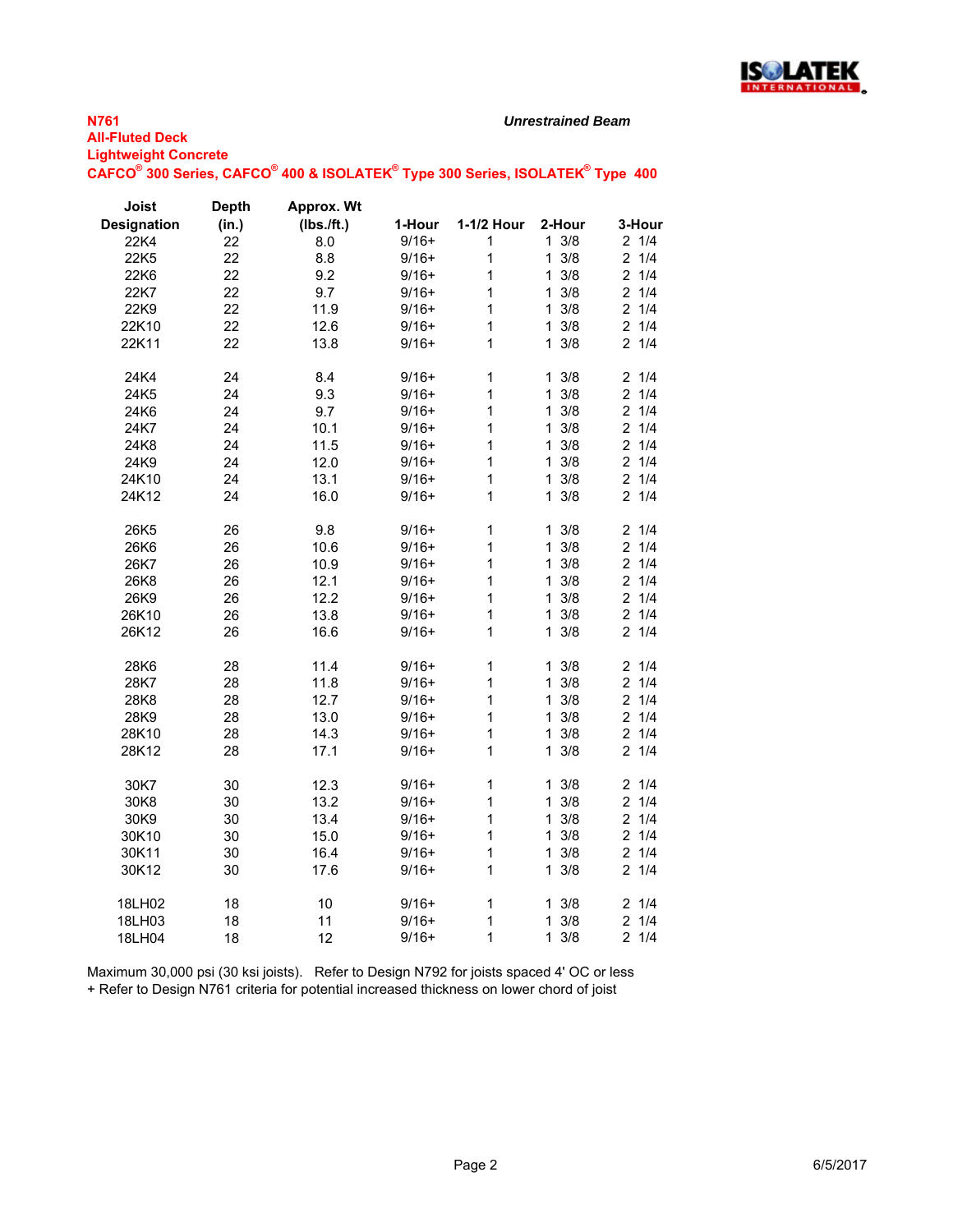

### **N761 All-Fluted Deck Lightweight Concrete** *Unrestrained Beam*  $\mathsf{CAFCO}^\circ$  300 Series,  $\mathsf{CAFCO}^\circ$  400 & ISOLATEK $^\circ$  Type 300 Series, ISOLATEK $^\circ$  Type 400

| Joist              | <b>Depth</b> | Approx. Wt |         |              |                     |                       |
|--------------------|--------------|------------|---------|--------------|---------------------|-----------------------|
| <b>Designation</b> | (in.)        | (Ibs./ft.) | 1-Hour  | 1-1/2 Hour   | 2-Hour              | 3-Hour                |
| 22K4               | 22           | 8.0        | $9/16+$ | 1            | $1 \frac{3}{8}$     | 21/4                  |
| 22K5               | 22           | 8.8        | $9/16+$ | 1            | 3/8<br>$\mathbf{1}$ | $2 \t1/4$             |
| 22K6               | 22           | 9.2        | $9/16+$ | 1            | $1 \frac{3}{8}$     | $2 \t1/4$             |
| 22K7               | 22           | 9.7        | $9/16+$ | 1            | $1 \frac{3}{8}$     | $2 \t1/4$             |
| 22K9               | 22           | 11.9       | $9/16+$ | $\mathbf{1}$ | $1 \frac{3}{8}$     | $2 \t1/4$             |
| 22K10              | 22           | 12.6       | $9/16+$ | 1            | $1 \frac{3}{8}$     | $2 \t1/4$             |
| 22K11              | 22           | 13.8       | $9/16+$ | $\mathbf{1}$ | 3/8<br>$\mathbf{1}$ | $2 \t1/4$             |
|                    |              |            |         |              |                     |                       |
| 24K4               | 24           | 8.4        | $9/16+$ | $\mathbf{1}$ | $1 \frac{3}{8}$     | 21/4                  |
| 24K5               | 24           | 9.3        | $9/16+$ | $\mathbf 1$  | 3/8<br>$\mathbf{1}$ | 21/4                  |
| 24K6               | 24           | 9.7        | $9/16+$ | 1            | $1 \frac{3}{8}$     | $2 \t1/4$             |
| 24K7               | 24           | 10.1       | $9/16+$ | 1            | $1 \frac{3}{8}$     | $2 \t1/4$             |
| 24K8               | 24           | 11.5       | $9/16+$ | 1            | 3/8<br>$\mathbf{1}$ | 21/4                  |
| 24K9               | 24           | 12.0       | $9/16+$ | 1            | 3/8<br>$\mathbf{1}$ | $2 \t1/4$             |
| 24K10              | 24           | 13.1       | $9/16+$ | 1            | 3/8<br>$\mathbf{1}$ | $2 \t1/4$             |
| 24K12              | 24           | 16.0       | $9/16+$ | 1            | 3/8<br>$\mathbf{1}$ | $2 \t1/4$             |
| 26K5               | 26           | 9.8        | $9/16+$ | $\mathbf{1}$ | $1 \frac{3}{8}$     | 21/4                  |
| 26K6               | 26           | 10.6       | $9/16+$ | 1            | 3/8<br>$\mathbf 1$  | 21/4                  |
| 26K7               | 26           | 10.9       | $9/16+$ | 1            | 3/8<br>$\mathbf{1}$ | 21/4                  |
| 26K8               | 26           | 12.1       | $9/16+$ | 1            | $1 \frac{3}{8}$     | $2 \t1/4$             |
| 26K9               | 26           | 12.2       | $9/16+$ | 1            | 3/8<br>$\mathbf{1}$ | 21/4                  |
| 26K10              | 26           | 13.8       | $9/16+$ | 1            | 3/8<br>$\mathbf{1}$ | $\overline{2}$<br>1/4 |
| 26K12              | 26           | 16.6       | $9/16+$ | $\mathbf{1}$ | 3/8<br>$\mathbf{1}$ | $2 \t1/4$             |
|                    |              |            |         |              |                     |                       |
| 28K6               | 28           | 11.4       | $9/16+$ | $\mathbf{1}$ | 3/8<br>$\mathbf{1}$ | 21/4                  |
| 28K7               | 28           | 11.8       | $9/16+$ | 1            | 3/8<br>$\mathbf{1}$ | $2 \t1/4$             |
| 28K8               | 28           | 12.7       | $9/16+$ | $\mathbf{1}$ | 3/8<br>$\mathbf{1}$ | $2 \t1/4$             |
| 28K9               | 28           | 13.0       | $9/16+$ | 1            | $1 \frac{3}{8}$     | 21/4                  |
| 28K10              | 28           | 14.3       | $9/16+$ | 1            | 3/8<br>1            | $\overline{2}$<br>1/4 |
| 28K12              | 28           | 17.1       | $9/16+$ | 1            | 3/8<br>$\mathbf{1}$ | 21/4                  |
| 30K7               | 30           | 12.3       | $9/16+$ | $\mathbf 1$  | 3/8<br>$\mathbf{1}$ | 21/4                  |
| 30K8               | 30           | 13.2       | $9/16+$ | 1            | 3/8<br>$\mathbf{1}$ | $2 \t1/4$             |
| 30K9               | 30           | 13.4       | $9/16+$ | 1            | $1 \frac{3}{8}$     | 21/4                  |
| 30K10              | 30           | 15.0       | $9/16+$ | $\mathbf{1}$ | $1 \frac{3}{8}$     | $\overline{2}$<br>1/4 |
| 30K11              | 30           | 16.4       | $9/16+$ | $\mathbf{1}$ | 3/8<br>$\mathbf{1}$ | 1/4<br>$\overline{c}$ |
| 30K12              | 30           | 17.6       | $9/16+$ | 1            | 3/8<br>$\mathbf 1$  | $2 \t1/4$             |
| 18LH02             | 18           | 10         | $9/16+$ | $\mathbf 1$  | 3/8<br>1            | 1/4<br>2              |
| 18LH03             | 18           | 11         | $9/16+$ | 1            | $\mathbf{1}$<br>3/8 | $\overline{2}$<br>1/4 |
| 18LH04             | 18           | 12         | $9/16+$ | 1            | 3/8<br>$\mathbf{1}$ | $\overline{2}$<br>1/4 |

Maximum 30,000 psi (30 ksi joists). Refer to Design N792 for joists spaced 4' OC or less + Refer to Design N761 criteria for potential increased thickness on lower chord of joist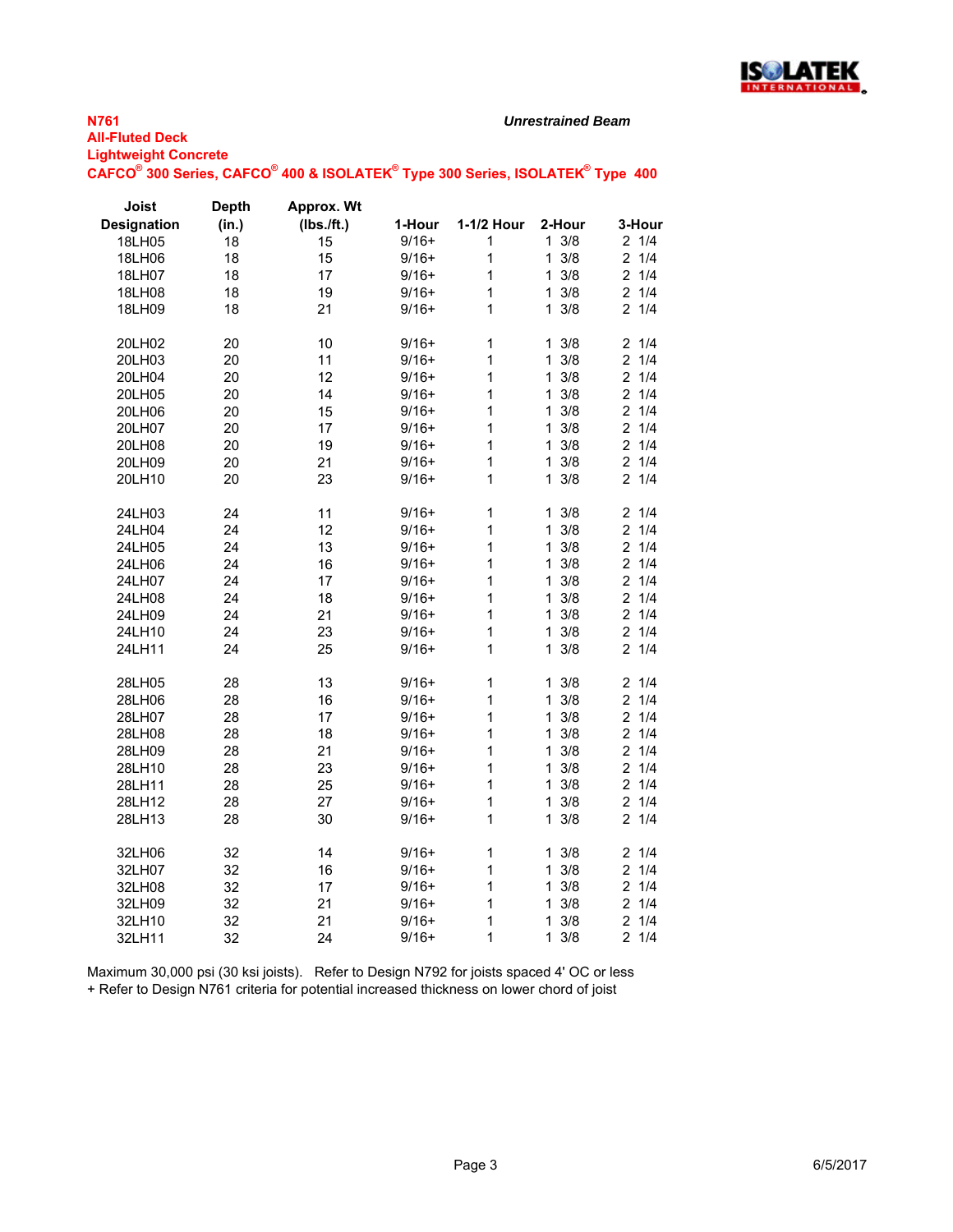

#### **N761 All-Fluted Deck Lightweight Concrete** *Unrestrained Beam*  $\mathsf{CAFCO}^\circ$  300 Series,  $\mathsf{CAFCO}^\circ$  400 & ISOLATEK $^\circ$  Type 300 Series, ISOLATEK $^\circ$  Type 400

| Joist              | <b>Depth</b> | Approx. Wt |         |              |                    |                       |
|--------------------|--------------|------------|---------|--------------|--------------------|-----------------------|
| <b>Designation</b> | (in.)        | (Ibs./ft.) | 1-Hour  | 1-1/2 Hour   | 2-Hour             | 3-Hour                |
| 18LH05             | 18           | 15         | $9/16+$ | 1            | $1 \frac{3}{8}$    | $2 \t1/4$             |
| 18LH06             | 18           | 15         | $9/16+$ | 1            | 3/8<br>1           | 1/4<br>$\overline{2}$ |
| 18LH07             | 18           | 17         | $9/16+$ | 1            | 3/8<br>1           | $\overline{2}$<br>1/4 |
| 18LH08             | 18           | 19         | $9/16+$ | 1            | 3/8<br>1.          | 1/4<br>2              |
| 18LH09             | 18           | 21         | $9/16+$ | 1            | 3/8<br>1           | 1/4<br>2              |
| 20LH02             | 20           | 10         | $9/16+$ | $\mathbf 1$  | $1 \frac{3}{8}$    | 1/4<br>2              |
| 20LH03             | 20           | 11         | $9/16+$ | 1            | 3/8<br>1           | $\overline{2}$<br>1/4 |
| 20LH04             | 20           | 12         | $9/16+$ | 1            | 3/8<br>1           | $\overline{2}$<br>1/4 |
| 20LH05             | 20           | 14         | $9/16+$ | 1            | 3/8<br>$\mathbf 1$ | $\overline{c}$<br>1/4 |
| 20LH06             | 20           | 15         | $9/16+$ | 1            | 3/8<br>1           | 1/4<br>$\overline{c}$ |
| 20LH07             | 20           | 17         | $9/16+$ | 1            | 3/8<br>1           | $\overline{2}$<br>1/4 |
| 20LH08             | 20           | 19         | $9/16+$ | 1            | 3/8<br>1           | 1/4<br>$\overline{2}$ |
| 20LH09             | 20           | 21         | $9/16+$ | 1            | 3/8<br>1           | $\overline{2}$<br>1/4 |
| 20LH10             | 20           | 23         | $9/16+$ | $\mathbf{1}$ | 3/8<br>1           | $\overline{2}$<br>1/4 |
| 24LH03             | 24           | 11         | $9/16+$ | $\mathbf 1$  | $1 \frac{3}{8}$    | $\overline{2}$<br>1/4 |
| 24LH04             | 24           | 12         | $9/16+$ | 1            | 3/8<br>1           | $\overline{2}$<br>1/4 |
| 24LH05             | 24           | 13         | $9/16+$ | 1            | 3/8<br>1           | $\overline{2}$<br>1/4 |
| 24LH06             | 24           | 16         | $9/16+$ | 1            | 3/8<br>1           | $\overline{2}$<br>1/4 |
| 24LH07             | 24           | 17         | $9/16+$ | 1            | 3/8<br>1.          | $\overline{c}$<br>1/4 |
| 24LH08             | 24           | 18         | $9/16+$ | 1            | 3/8<br>1           | $\overline{2}$<br>1/4 |
| 24LH09             | 24           | 21         | $9/16+$ | 1            | 3/8<br>1           | $\overline{c}$<br>1/4 |
| 24LH10             | 24           | 23         | $9/16+$ | 1            | 3/8<br>1           | $\overline{c}$<br>1/4 |
| 24LH11             | 24           | 25         | $9/16+$ | 1            | 3/8<br>1.          | 2<br>1/4              |
| 28LH05             | 28           | 13         | $9/16+$ | 1            | $1 \frac{3}{8}$    | $\overline{2}$<br>1/4 |
| 28LH06             | 28           | 16         | $9/16+$ | $\mathbf{1}$ | 3/8<br>1           | $\overline{c}$<br>1/4 |
| 28LH07             | 28           | 17         | $9/16+$ | 1            | 3/8<br>1           | $\overline{2}$<br>1/4 |
| 28LH08             | 28           | 18         | $9/16+$ | $\mathbf{1}$ | 3/8<br>1           | 1/4<br>$\overline{c}$ |
| 28LH09             | 28           | 21         | $9/16+$ | 1            | $1 \frac{3}{8}$    | $\overline{2}$<br>1/4 |
| 28LH10             | 28           | 23         | $9/16+$ | 1            | 3/8<br>1           | $\overline{2}$<br>1/4 |
| 28LH11             | 28           | 25         | $9/16+$ | $\mathbf{1}$ | 3/8<br>1           | 1/4<br>$\overline{2}$ |
| 28LH12             | 28           | 27         | $9/16+$ | 1            | 3/8<br>1           | $\overline{c}$<br>1/4 |
| 28LH13             | 28           | 30         | $9/16+$ | 1            | 3/8<br>1           | 1/4<br>$\overline{2}$ |
| 32LH06             | 32           | 14         | $9/16+$ | $\mathbf 1$  | $1 \frac{3}{8}$    | $\overline{2}$<br>1/4 |
| 32LH07             | 32           | 16         | $9/16+$ | 1            | 3/8<br>1           | $\overline{c}$<br>1/4 |
| 32LH08             | 32           | 17         | $9/16+$ | 1            | 3/8<br>1           | $\overline{2}$<br>1/4 |
| 32LH09             | 32           | 21         | $9/16+$ | $\mathbf{1}$ | 3/8<br>1           | 1/4<br>$\overline{c}$ |
| 32LH10             | 32           | 21         | $9/16+$ | 1            | 3/8<br>1           | $\overline{2}$<br>1/4 |
| 32LH11             | 32           | 24         | $9/16+$ | 1            | 3/8<br>1           | $\overline{2}$<br>1/4 |

Maximum 30,000 psi (30 ksi joists). Refer to Design N792 for joists spaced 4' OC or less + Refer to Design N761 criteria for potential increased thickness on lower chord of joist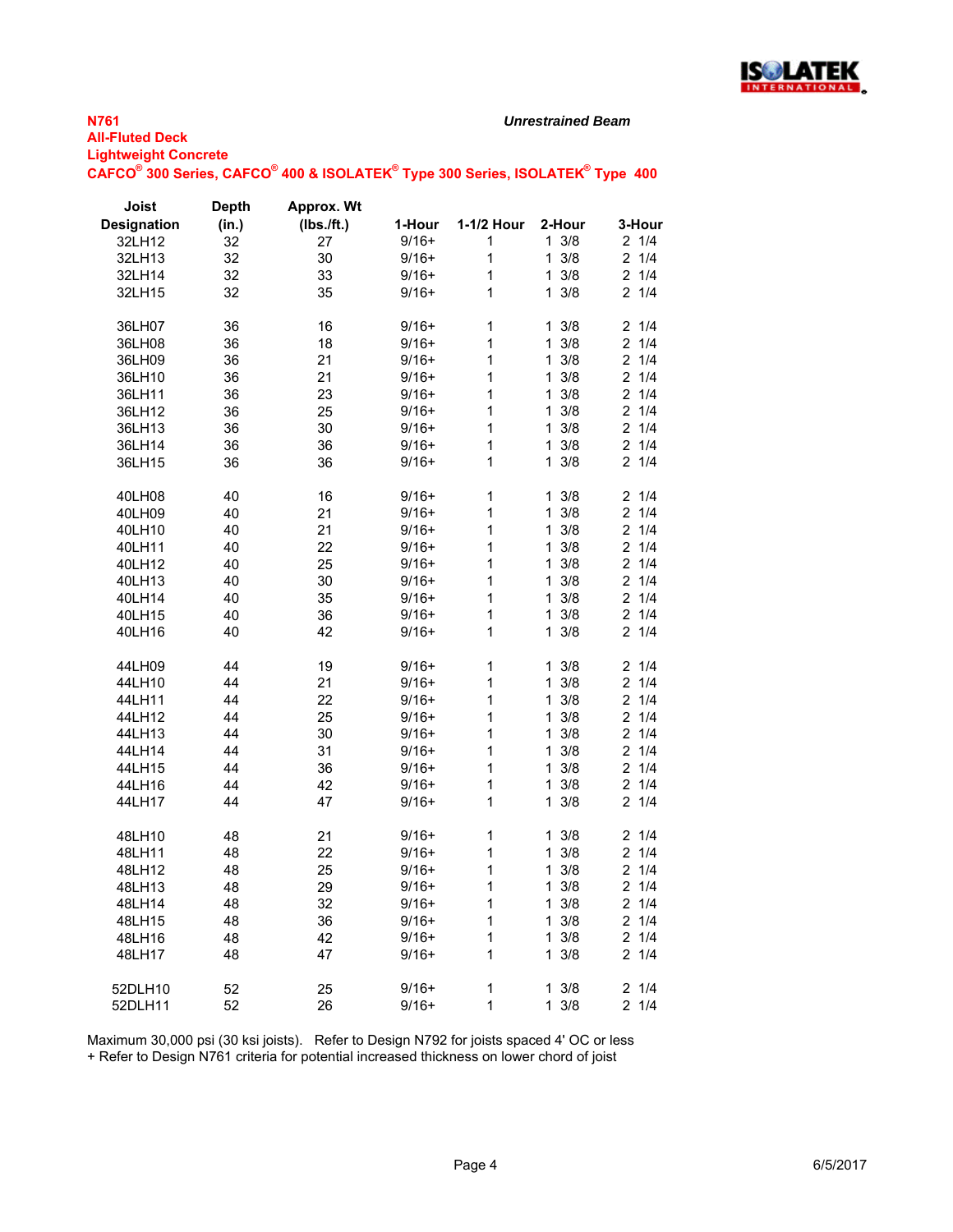

# **N761 All-Fluted Deck**

*Unrestrained Beam*

| <b>Lightweight Concrete</b>                                                   |  |  |  |
|-------------------------------------------------------------------------------|--|--|--|
| CAFCO® 300 Series, CAFCO® 400 & ISOLATEK® Type 300 Series, ISOLATEK® Type 400 |  |  |  |

| Joist              | Depth | Approx. Wt |         |              |                     |                       |
|--------------------|-------|------------|---------|--------------|---------------------|-----------------------|
| <b>Designation</b> | (in.) | (Ibs./ft.) | 1-Hour  | 1-1/2 Hour   | 2-Hour              | 3-Hour                |
| 32LH12             | 32    | 27         | $9/16+$ | 1            | $1 \frac{3}{8}$     | 21/4                  |
| 32LH13             | 32    | 30         | $9/16+$ | 1            | 3/8<br>$\mathbf{1}$ | $\overline{2}$<br>1/4 |
| 32LH14             | 32    | 33         | $9/16+$ | 1            | 3/8<br>$\mathbf 1$  | 1/4<br>$\overline{2}$ |
| 32LH15             | 32    | 35         | $9/16+$ | 1            | 3/8<br>$\mathbf{1}$ | 21/4                  |
|                    |       |            |         |              |                     |                       |
| 36LH07             | 36    | 16         | $9/16+$ | $\mathbf{1}$ | $1 \frac{3}{8}$     | $2 \t1/4$             |
| 36LH08             | 36    | 18         | $9/16+$ | 1            | 3/8<br>$\mathbf 1$  | $\overline{2}$<br>1/4 |
| 36LH09             | 36    | 21         | $9/16+$ | $\mathbf 1$  | 3/8<br>$\mathbf{1}$ | 1/4<br>$\overline{2}$ |
| 36LH10             | 36    | 21         | $9/16+$ | 1            | 3/8<br>$\mathbf{1}$ | 1/4<br>$\overline{c}$ |
| 36LH11             | 36    | 23         | $9/16+$ | $\mathbf{1}$ | $1 \frac{3}{8}$     | $2 \t1/4$             |
| 36LH12             | 36    | 25         | $9/16+$ | 1            | $1 \frac{3}{8}$     | 2<br>1/4              |
| 36LH13             | 36    | 30         | $9/16+$ | $\mathbf 1$  | 3/8<br>$\mathbf{1}$ | 1/4<br>2              |
| 36LH14             | 36    | 36         | $9/16+$ | 1            | 3/8<br>$\mathbf{1}$ | $\overline{2}$<br>1/4 |
| 36LH15             | 36    | 36         | $9/16+$ | 1            | 3/8<br>$\mathbf{1}$ | 1/4<br>$\overline{2}$ |
|                    |       |            |         |              |                     |                       |
| 40LH08             | 40    | 16         | $9/16+$ | $\mathbf{1}$ | $1 \frac{3}{8}$     | $2 \t1/4$             |
| 40LH09             | 40    | 21         | $9/16+$ | 1            | 3/8<br>$\mathbf{1}$ | 1/4<br>$\overline{c}$ |
| 40LH10             | 40    | 21         | $9/16+$ | $\mathbf 1$  | 3/8<br>$\mathbf{1}$ | $\overline{2}$<br>1/4 |
| 40LH11             | 40    | 22         | $9/16+$ | $\mathbf 1$  | 3/8<br>$\mathbf{1}$ | $\overline{2}$<br>1/4 |
| 40LH12             | 40    | 25         | $9/16+$ | 1            | $1 \frac{3}{8}$     | 1/4<br>$\overline{c}$ |
| 40LH13             | 40    | 30         | $9/16+$ | 1            | 3/8<br>$\mathbf{1}$ | 21/4                  |
| 40LH14             | 40    | 35         | $9/16+$ | 1            | $1 \frac{3}{8}$     | 2<br>1/4              |
| 40LH15             | 40    | 36         | $9/16+$ | $\mathbf 1$  | 3/8<br>$\mathbf{1}$ | 1/4<br>2              |
| 40LH16             | 40    | 42         | $9/16+$ | 1            | 3/8<br>1            | $\overline{2}$<br>1/4 |
| 44LH09             | 44    | 19         | $9/16+$ | $\mathbf{1}$ | 3/8<br>1            | 1/4<br>2              |
| 44LH10             | 44    | 21         | $9/16+$ | 1            | 3/8<br>$\mathbf{1}$ | $\overline{2}$<br>1/4 |
| 44LH11             | 44    | 22         | $9/16+$ | $\mathbf{1}$ | 3/8<br>$\mathbf{1}$ | $\overline{2}$<br>1/4 |
| 44LH12             | 44    | 25         | $9/16+$ | $\mathbf 1$  | 3/8<br>$\mathbf{1}$ | 1/4<br>$\overline{c}$ |
| 44LH13             | 44    | 30         | $9/16+$ | $\mathbf 1$  | 3/8<br>$\mathbf{1}$ | $\overline{2}$<br>1/4 |
| 44LH14             | 44    | 31         | $9/16+$ | 1            | 3/8<br>$\mathbf{1}$ | 1/4<br>$\overline{c}$ |
| 44LH15             | 44    | 36         | $9/16+$ | 1            | 3/8<br>$\mathbf{1}$ | $\overline{c}$<br>1/4 |
|                    | 44    |            | $9/16+$ | 1            | 3/8<br>$\mathbf{1}$ | 2<br>1/4              |
| 44LH16<br>44LH17   | 44    | 42<br>47   | $9/16+$ | $\mathbf{1}$ | 3/8<br>$\mathbf{1}$ | 1/4<br>$\overline{2}$ |
|                    |       |            |         |              |                     |                       |
| 48LH10             | 48    | 21         | $9/16+$ | 1            | 3/8<br>$\mathbf{1}$ | 1/4<br>2              |
| 48LH11             | 48    | 22         | $9/16+$ | 1            | 3/8<br>$\mathbf{1}$ | 1/4<br>$\overline{c}$ |
| 48LH12             | 48    | 25         | $9/16+$ | $\mathbf 1$  | 3/8<br>$\mathbf{1}$ | 21/4                  |
| 48LH13             | 48    | 29         | $9/16+$ | 1            | $1 \frac{3}{8}$     | 2 1/4                 |
| 48LH14             | 48    | 32         | $9/16+$ | $\mathbf 1$  | $1 \frac{3}{8}$     | $2 \t1/4$             |
| 48LH15             | 48    | 36         | $9/16+$ | 1            | 3/8<br>$\mathbf{1}$ | $2 \t1/4$             |
| 48LH16             | 48    | 42         | $9/16+$ | $\mathbf{1}$ | 3/8<br>$\mathbf{1}$ | $2 \t1/4$             |
| 48LH17             | 48    | 47         | $9/16+$ | $\mathbf{1}$ | 3/8<br>1            | 21/4                  |
|                    |       |            |         |              |                     |                       |
| 52DLH10            | 52    | 25         | $9/16+$ | 1            | $1 \frac{3}{8}$     | $2 \t1/4$             |
| 52DLH11            | 52    | 26         | $9/16+$ | $\mathbf 1$  | $1 \frac{3}{8}$     | $2 \t1/4$             |

Maximum 30,000 psi (30 ksi joists). Refer to Design N792 for joists spaced 4' OC or less

+ Refer to Design N761 criteria for potential increased thickness on lower chord of joist